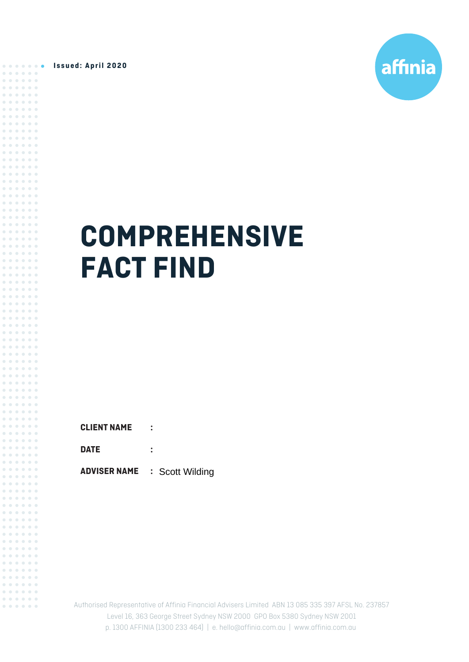**Issued: April 2020**

 $\begin{array}{cccccccccccccc} 0 & 0 & 0 & 0 & 0 & 0 & 0 & 0 \\ \end{array}$ . . . . . . . . . . . .  $\begin{array}{cccccccccccccc} 0 & 0 & 0 & 0 & 0 & 0 & 0 & 0 \\ \end{array}$ . . . . . . . . . . . . . . . . . .  $0.0000000000$ . . . . . . . . . . . . . . . . . .  $\begin{array}{cccccccccccccc} 0 & 0 & 0 & 0 & 0 & 0 & 0 & 0 \end{array}$  $\begin{array}{cccccccccccccc} 0 & 0 & 0 & 0 & 0 & 0 & 0 & 0 \\ \end{array}$  $\begin{array}{cccccccccccccc} 0 & 0 & 0 & 0 & 0 & 0 & 0 & 0 \end{array}$ . . . . . . . . . . . .  $\begin{array}{cccccccccccccc} 0 & 0 & 0 & 0 & 0 & 0 & 0 & 0 \end{array}$ . . . . . .  $\begin{array}{cccccccccccccc} 0 & 0 & 0 & 0 & 0 & 0 & 0 & 0 \\ \end{array}$ . . . . . . ------ $\begin{array}{cccccccccccccc} 0 & 0 & 0 & 0 & 0 & 0 & 0 & 0 \end{array}$ . . . . . . . . . . . . . . . . . . ...... . . . . . . . . . . . . . . . . . .  $\begin{array}{cccccccccccccc} 0 & 0 & 0 & 0 & 0 & 0 & 0 & 0 \\ \end{array}$ 



# **COMPREHENSIVE FACT FIND**

|  | <b>CLIENT NAME</b> |  |
|--|--------------------|--|
|  |                    |  |

**DATE :**

**ADVISER NAME :** Scott Wilding

Authorised Representative of Affinia Financial Advisers Limited ABN 13 085 335 397 AFSL No. 237857 Level 16, 363 George Street Sydney NSW 2000 GPO Box 5380 Sydney NSW 2001 p. 1300 AFFINIA (1300 233 464) | e. hello@affinia.com.au | www.affinia.com.au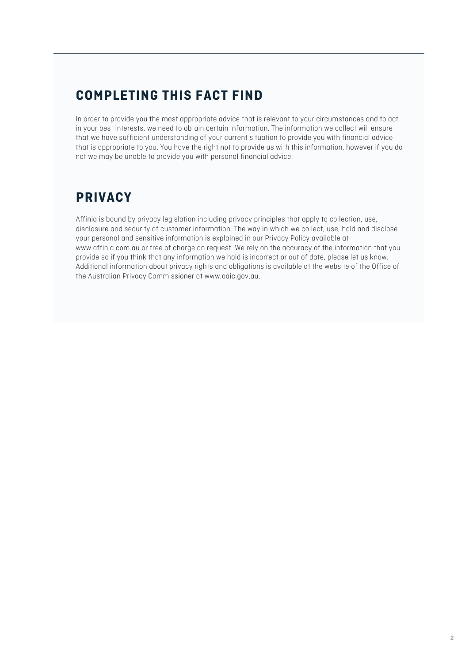### **COMPLETING THIS FACT FIND**

In order to provide you the most appropriate advice that is relevant to your circumstances and to act in your best interests, we need to obtain certain information. The information we collect will ensure that we have sufficient understanding of your current situation to provide you with financial advice that is appropriate to you. You have the right not to provide us with this information, however if you do not we may be unable to provide you with personal financial advice.

### **PRIVACY**

Affinia is bound by privacy legislation including privacy principles that apply to collection, use, disclosure and security of customer information. The way in which we collect, use, hold and disclose your personal and sensitive information is explained in our Privacy Policy available at www.affinia.com.au or free of charge on request. We rely on the accuracy of the information that you provide so if you think that any information we hold is incorrect or out of date, please let us know. Additional information about privacy rights and obligations is available at the website of the Office of the Australian Privacy Commissioner at www.oaic.gov.au.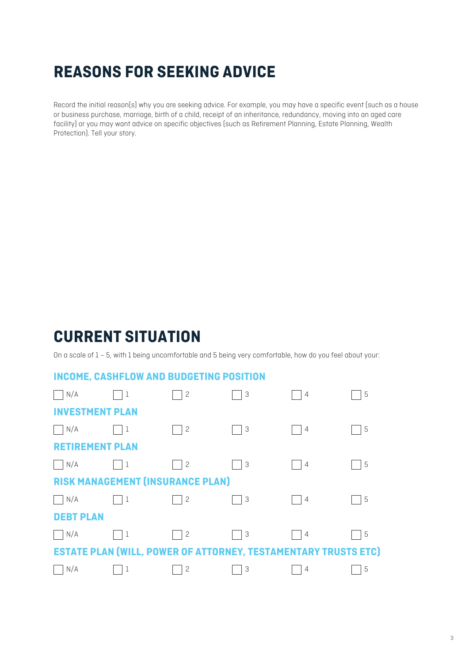# **REASONS FOR SEEKING ADVICE**

Record the initial reason(s) why you are seeking advice. For example, you may have a specific event (such as a house or business purchase, marriage, birth of a child, receipt of an inheritance, redundancy, moving into an aged care facility) or you may want advice on specific objectives (such as Retirement Planning, Estate Planning, Wealth Protection). Tell your story.

# **CURRENT SITUATION**

On a scale of 1 – 5, with 1 being uncomfortable and 5 being very comfortable, how do you feel about your:

#### **INCOME, CASHFLOW AND BUDGETING POSITION**

|                        | $\mathbf{2}$   | 3 | $\overline{4}$                          | 5                                                                     |
|------------------------|----------------|---|-----------------------------------------|-----------------------------------------------------------------------|
| <b>INVESTMENT PLAN</b> |                |   |                                         |                                                                       |
|                        | $\overline{c}$ | 3 | $\overline{4}$                          | 5                                                                     |
| <b>RETIREMENT PLAN</b> |                |   |                                         |                                                                       |
|                        | $\mathbf{2}$   | 3 | $\overline{4}$                          | -5                                                                    |
|                        |                |   |                                         |                                                                       |
| 1                      | $\mathbf{2}$   | 3 | $\overline{4}$                          | -5                                                                    |
|                        |                |   |                                         |                                                                       |
|                        | $\overline{c}$ | 3 | $\overline{4}$                          | -5                                                                    |
|                        |                |   |                                         |                                                                       |
|                        | $\overline{c}$ | 3 | $\overline{4}$                          | 5                                                                     |
|                        |                |   | <b>RISK MANAGEMENT (INSURANCE PLAN)</b> | <b>ESTATE PLAN (WILL, POWER OF ATTORNEY, TESTAMENTARY TRUSTS ETC)</b> |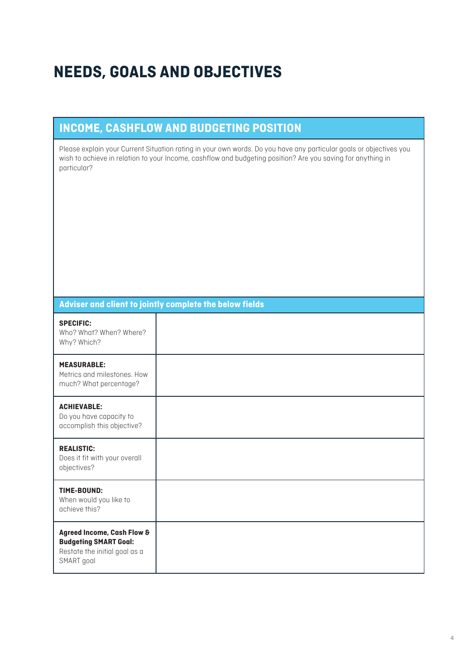# **NEEDS, GOALS AND OBJECTIVES**

#### **INCOME, CASHFLOW AND BUDGETING POSITION**

Please explain your Current Situation rating in your own words. Do you have any particular goals or objectives you wish to achieve in relation to your Income, cashflow and budgeting position? Are you saving for anything in particular?

| <b>SPECIFIC:</b><br>Who? What? When? Where?<br>Why? Which?                                                           |  |
|----------------------------------------------------------------------------------------------------------------------|--|
| <b>MEASURABLE:</b><br>Metrics and milestones. How<br>much? What percentage?                                          |  |
| <b>ACHIEVABLE:</b><br>Do you have capacity to<br>accomplish this objective?                                          |  |
| <b>REALISTIC:</b><br>Does it fit with your overall<br>objectives?                                                    |  |
| TIME-BOUND:<br>When would you like to<br>achieve this?                                                               |  |
| <b>Agreed Income, Cash Flow &amp;</b><br><b>Budgeting SMART Goal:</b><br>Restate the initial goal as a<br>SMART goal |  |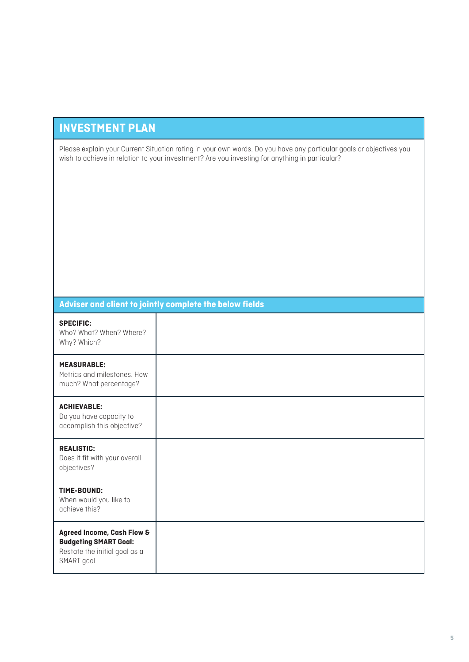#### **INVESTMENT PLAN**

Please explain your Current Situation rating in your own words. Do you have any particular goals or objectives you wish to achieve in relation to your investment? Are you investing for anything in particular?

| <b>SPECIFIC:</b><br>Who? What? When? Where?<br>Why? Which?                                                           |  |
|----------------------------------------------------------------------------------------------------------------------|--|
| <b>MEASURABLE:</b><br>Metrics and milestones. How<br>much? What percentage?                                          |  |
| <b>ACHIEVABLE:</b><br>Do you have capacity to<br>accomplish this objective?                                          |  |
| <b>REALISTIC:</b><br>Does it fit with your overall<br>objectives?                                                    |  |
| TIME-BOUND:<br>When would you like to<br>achieve this?                                                               |  |
| <b>Agreed Income, Cash Flow &amp;</b><br><b>Budgeting SMART Goal:</b><br>Restate the initial goal as a<br>SMART goal |  |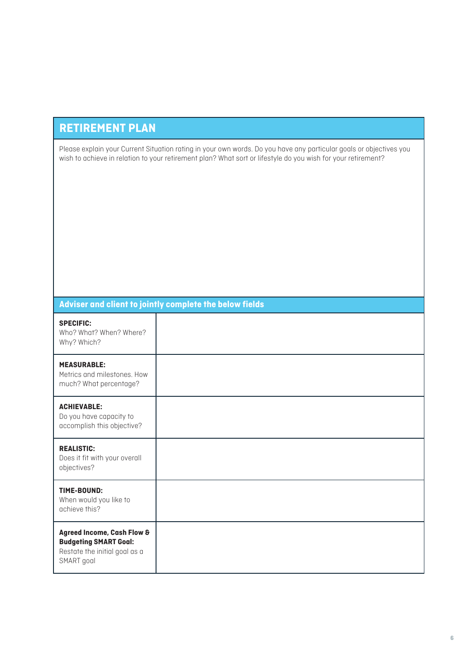#### **RETIREMENT PLAN**

Please explain your Current Situation rating in your own words. Do you have any particular goals or objectives you wish to achieve in relation to your retirement plan? What sort or lifestyle do you wish for your retirement?

| <b>SPECIFIC:</b><br>Who? What? When? Where?<br>Why? Which?                                                           |  |
|----------------------------------------------------------------------------------------------------------------------|--|
| <b>MEASURABLE:</b><br>Metrics and milestones. How<br>much? What percentage?                                          |  |
| <b>ACHIEVABLE:</b><br>Do you have capacity to<br>accomplish this objective?                                          |  |
| <b>REALISTIC:</b><br>Does it fit with your overall<br>objectives?                                                    |  |
| TIME-BOUND:<br>When would you like to<br>achieve this?                                                               |  |
| <b>Agreed Income, Cash Flow &amp;</b><br><b>Budgeting SMART Goal:</b><br>Restate the initial goal as a<br>SMART goal |  |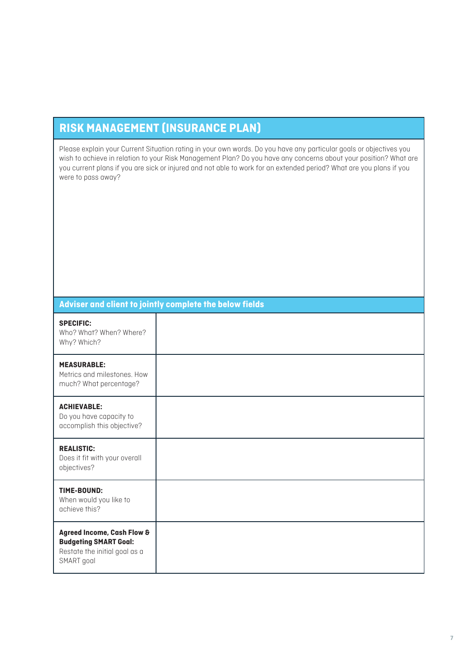#### **RISK MANAGEMENT (INSURANCE PLAN)**

Please explain your Current Situation rating in your own words. Do you have any particular goals or objectives you wish to achieve in relation to your Risk Management Plan? Do you have any concerns about your position? What are you current plans if you are sick or injured and not able to work for an extended period? What are you plans if you were to pass away?

| <b>SPECIFIC:</b><br>Who? What? When? Where?<br>Why? Which?                                                           |  |
|----------------------------------------------------------------------------------------------------------------------|--|
| <b>MEASURABLE:</b><br>Metrics and milestones. How<br>much? What percentage?                                          |  |
| <b>ACHIEVABLE:</b><br>Do you have capacity to<br>accomplish this objective?                                          |  |
| <b>REALISTIC:</b><br>Does it fit with your overall<br>objectives?                                                    |  |
| TIME-BOUND:<br>When would you like to<br>achieve this?                                                               |  |
| <b>Agreed Income, Cash Flow &amp;</b><br><b>Budgeting SMART Goal:</b><br>Restate the initial goal as a<br>SMART goal |  |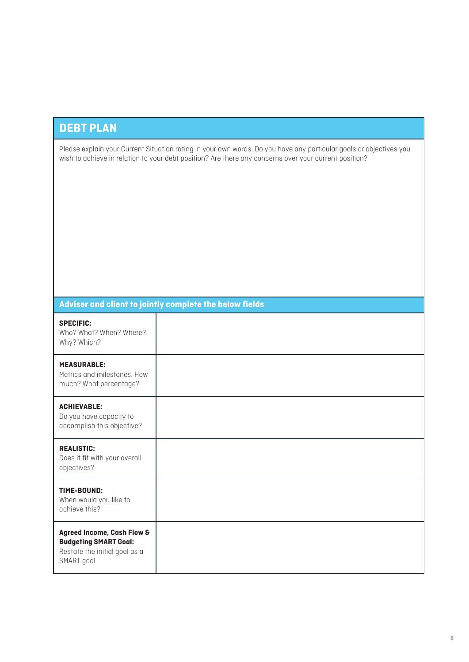### **DEBT PLAN**

Please explain your Current Situation rating in your own words. Do you have any particular goals or objectives you wish to achieve in relation to your debt position? Are there any concerns over your current position?

| <b>SPECIFIC:</b><br>Who? What? When? Where?<br>Why? Which?                                                           |  |
|----------------------------------------------------------------------------------------------------------------------|--|
| <b>MEASURABLE:</b><br>Metrics and milestones. How<br>much? What percentage?                                          |  |
| <b>ACHIEVABLE:</b><br>Do you have capacity to<br>accomplish this objective?                                          |  |
| <b>REALISTIC:</b><br>Does it fit with your overall<br>objectives?                                                    |  |
| TIME-BOUND:<br>When would you like to<br>achieve this?                                                               |  |
| <b>Agreed Income, Cash Flow &amp;</b><br><b>Budgeting SMART Goal:</b><br>Restate the initial goal as a<br>SMART goal |  |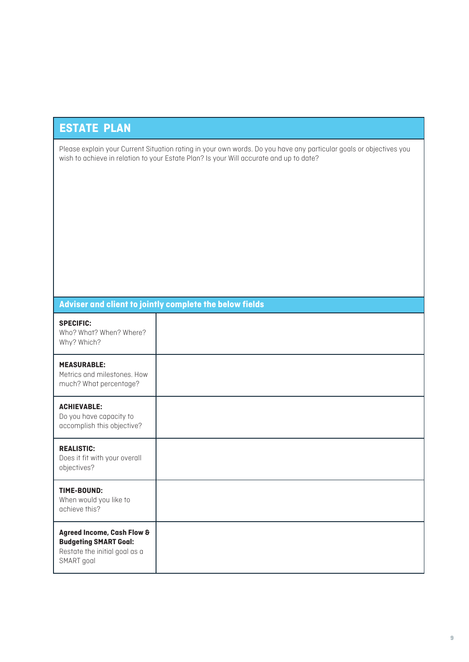### **ESTATE PLAN**

Please explain your Current Situation rating in your own words. Do you have any particular goals or objectives you wish to achieve in relation to your Estate Plan? Is your Will accurate and up to date?

| <b>SPECIFIC:</b><br>Who? What? When? Where?<br>Why? Which?                                                           |  |
|----------------------------------------------------------------------------------------------------------------------|--|
| <b>MEASURABLE:</b><br>Metrics and milestones. How<br>much? What percentage?                                          |  |
| <b>ACHIEVABLE:</b><br>Do you have capacity to<br>accomplish this objective?                                          |  |
| <b>REALISTIC:</b><br>Does it fit with your overall<br>objectives?                                                    |  |
| TIME-BOUND:<br>When would you like to<br>achieve this?                                                               |  |
| <b>Agreed Income, Cash Flow &amp;</b><br><b>Budgeting SMART Goal:</b><br>Restate the initial goal as a<br>SMART goal |  |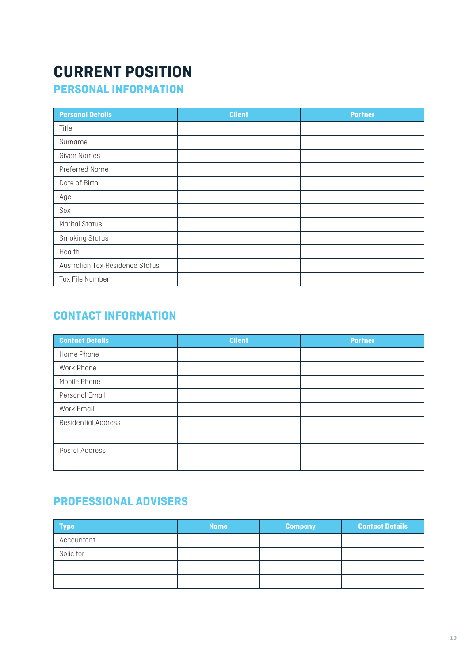# **CURRENT POSITION**

**PERSONAL INFORMATION**

| <b>Personal Details</b>         | <b>Client</b> | <b>Partner</b> |
|---------------------------------|---------------|----------------|
| Title                           |               |                |
| Surname                         |               |                |
| Given Names                     |               |                |
| Preferred Name                  |               |                |
| Date of Birth                   |               |                |
| Age                             |               |                |
| Sex                             |               |                |
| Marital Status                  |               |                |
| Smoking Status                  |               |                |
| Health                          |               |                |
| Australian Tax Residence Status |               |                |
| Tax File Number                 |               |                |

#### **CONTACT INFORMATION**

| <b>Contact Details</b>     | <b>Client</b> | <b>Partner</b> |
|----------------------------|---------------|----------------|
| Home Phone                 |               |                |
| Work Phone                 |               |                |
| Mobile Phone               |               |                |
| Personal Email             |               |                |
| Work Email                 |               |                |
| <b>Residential Address</b> |               |                |
| Postal Address             |               |                |

#### **PROFESSIONAL ADVISERS**

| <b>Type</b> | Name | <b>Company</b> | <b>Contact Details</b> |
|-------------|------|----------------|------------------------|
| Accountant  |      |                |                        |
| Solicitor   |      |                |                        |
|             |      |                |                        |
|             |      |                |                        |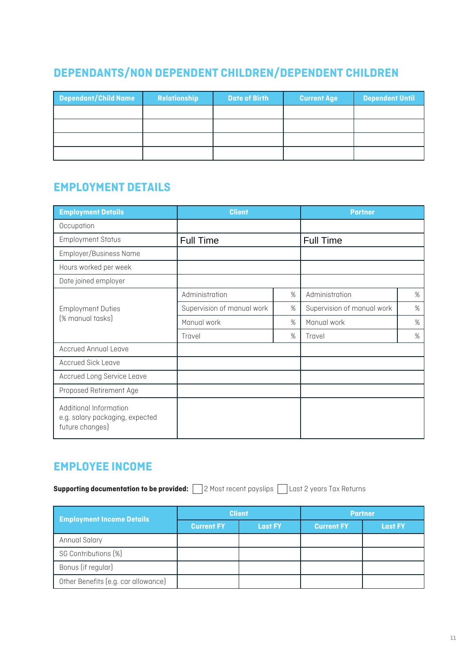### **DEPENDANTS/NON DEPENDENT CHILDREN/DEPENDENT CHILDREN**

| <b>Dependant/Child Name</b> | Relationship | Date of Birth | <b>Current Age</b> | <b>Dependent Until</b> |
|-----------------------------|--------------|---------------|--------------------|------------------------|
|                             |              |               |                    |                        |
|                             |              |               |                    |                        |
|                             |              |               |                    |                        |
|                             |              |               |                    |                        |

#### **EMPLOYMENT DETAILS**

| <b>Employment Details</b>                                                    | <b>Client</b>              |      | <b>Partner</b>             |   |
|------------------------------------------------------------------------------|----------------------------|------|----------------------------|---|
| Occupation                                                                   |                            |      |                            |   |
| <b>Employment Status</b>                                                     | <b>Full Time</b>           |      | <b>Full Time</b>           |   |
| Employer/Business Name                                                       |                            |      |                            |   |
| Hours worked per week                                                        |                            |      |                            |   |
| Date joined employer                                                         |                            |      |                            |   |
|                                                                              | Administration             | $\%$ | Administration             | % |
| <b>Employment Duties</b>                                                     | Supervision of manual work | $\%$ | Supervision of manual work | % |
| (% manual tasks)                                                             | Manual work                | %    | Manual work                | % |
|                                                                              | Travel                     | $\%$ | Travel                     | % |
| <b>Accrued Annual Leave</b>                                                  |                            |      |                            |   |
| Accrued Sick Leave                                                           |                            |      |                            |   |
| Accrued Long Service Leave                                                   |                            |      |                            |   |
| Proposed Retirement Age                                                      |                            |      |                            |   |
| Additional Information<br>e.g. salary packaging, expected<br>future changes) |                            |      |                            |   |

#### **EMPLOYEE INCOME**

**Supporting documentation to be provided:** 2 Most recent payslips  $\Box$  Last 2 years Tax Returns

| <b>Employment Income Details</b>    | <b>Client</b>     |                | <b>Partner</b>    |                |
|-------------------------------------|-------------------|----------------|-------------------|----------------|
|                                     | <b>Current FY</b> | <b>Last FY</b> | <b>Current FY</b> | <b>Last FY</b> |
| Annual Salary                       |                   |                |                   |                |
| SG Contributions [%]                |                   |                |                   |                |
| Bonus (if regular)                  |                   |                |                   |                |
| Other Benefits (e.g. car allowance) |                   |                |                   |                |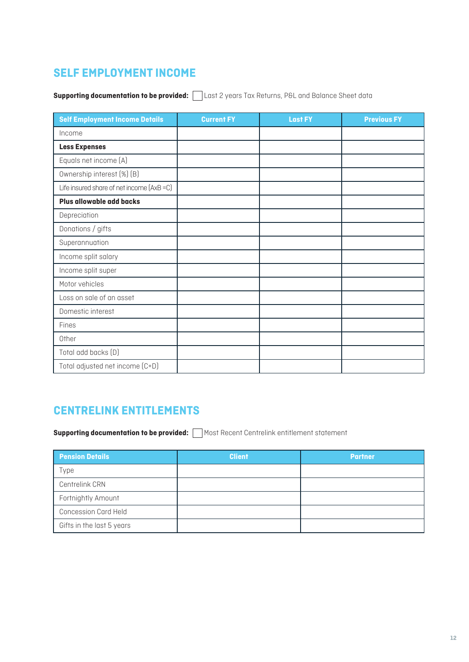#### **SELF EMPLOYMENT INCOME**

**Supporting documentation to be provided:** <u>Last 2</u> years Tax Returns, P&L and Balance Sheet data

| <b>Self Employment Income Details</b>      | <b>Current FY</b> | <b>Last FY</b> | <b>Previous FY</b> |
|--------------------------------------------|-------------------|----------------|--------------------|
| Income                                     |                   |                |                    |
| <b>Less Expenses</b>                       |                   |                |                    |
| Equals net income (A)                      |                   |                |                    |
| Ownership interest [%] [B]                 |                   |                |                    |
| Life insured share of net income (AxB = C) |                   |                |                    |
| Plus allowable add backs                   |                   |                |                    |
| Depreciation                               |                   |                |                    |
| Donations / gifts                          |                   |                |                    |
| Superannuation                             |                   |                |                    |
| Income split salary                        |                   |                |                    |
| Income split super                         |                   |                |                    |
| Motor vehicles                             |                   |                |                    |
| Loss on sale of an asset                   |                   |                |                    |
| Domestic interest                          |                   |                |                    |
| Fines                                      |                   |                |                    |
| Other                                      |                   |                |                    |
| Total add backs (D)                        |                   |                |                    |
| Total adjusted net income (C+D)            |                   |                |                    |

#### **CENTRELINK ENTITLEMENTS**

**Supporting documentation to be provided:** Most Recent Centrelink entitlement statement

| <b>Pension Details</b>      | <b>Client</b> | <b>Partner</b> |
|-----------------------------|---------------|----------------|
| Type                        |               |                |
| <b>Centrelink CRN</b>       |               |                |
| Fortnightly Amount          |               |                |
| <b>Concession Card Held</b> |               |                |
| Gifts in the last 5 years   |               |                |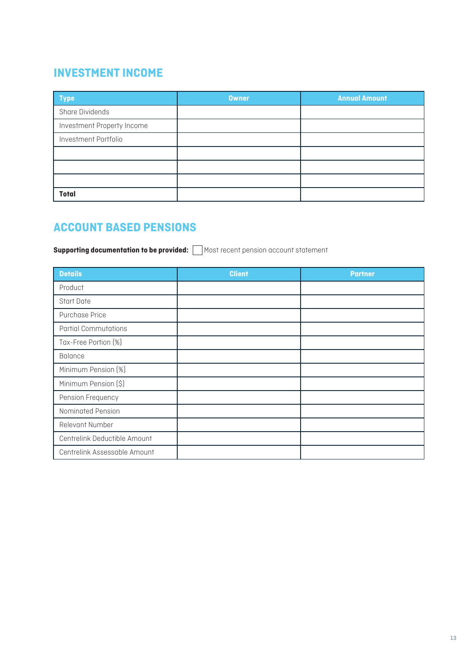#### **INVESTMENT INCOME**

| <b>Type</b>                | <b>Owner</b> | <b>Annual Amount</b> |
|----------------------------|--------------|----------------------|
| Share Dividends            |              |                      |
| Investment Property Income |              |                      |
| Investment Portfolio       |              |                      |
|                            |              |                      |
|                            |              |                      |
|                            |              |                      |
| Total                      |              |                      |

#### **ACCOUNT BASED PENSIONS**

**Supporting documentation to be provided:** Most recent pension account statement

| <b>Details</b>               | <b>Client</b> | <b>Partner</b> |
|------------------------------|---------------|----------------|
| Product                      |               |                |
| Start Date                   |               |                |
| Purchase Price               |               |                |
| <b>Partial Commutations</b>  |               |                |
| Tax-Free Portion [%]         |               |                |
| <b>Balance</b>               |               |                |
| Minimum Pension [%]          |               |                |
| Minimum Pension [\$]         |               |                |
| Pension Frequency            |               |                |
| Nominated Pension            |               |                |
| Relevant Number              |               |                |
| Centrelink Deductible Amount |               |                |
| Centrelink Assessable Amount |               |                |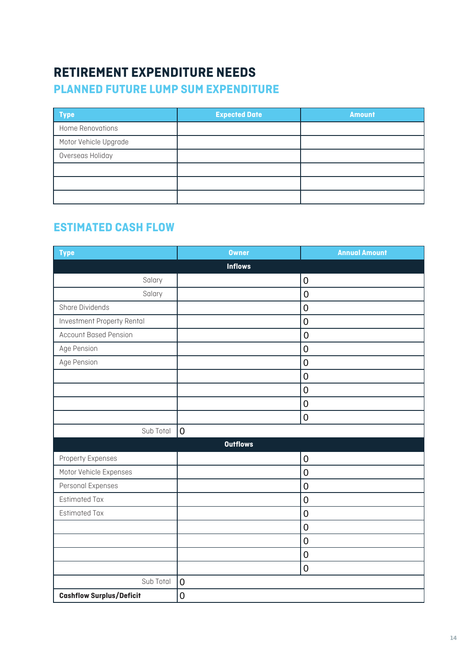## **RETIREMENT EXPENDITURE NEEDS**

#### **PLANNED FUTURE LUMP SUM EXPENDITURE**

| <b>Type</b>           | <b>Expected Date</b> | <b>Amount</b> |
|-----------------------|----------------------|---------------|
| Home Renovations      |                      |               |
| Motor Vehicle Upgrade |                      |               |
| Overseas Holiday      |                      |               |
|                       |                      |               |
|                       |                      |               |
|                       |                      |               |

#### **ESTIMATED CASH FLOW**

| <b>Type</b>                     | <b>Owner</b>    | <b>Annual Amount</b> |
|---------------------------------|-----------------|----------------------|
|                                 | <b>Inflows</b>  |                      |
| Salary                          |                 | $\mathbf 0$          |
| Salary                          |                 | $\mathbf 0$          |
| Share Dividends                 |                 | $\mathbf 0$          |
| Investment Property Rental      |                 | $\mathbf 0$          |
| <b>Account Based Pension</b>    |                 | $\mathbf 0$          |
| Age Pension                     |                 | $\mathbf 0$          |
| Age Pension                     |                 | $\mathbf 0$          |
|                                 |                 | $\mathbf 0$          |
|                                 |                 | $\mathbf 0$          |
|                                 |                 | $\mathbf 0$          |
|                                 |                 | $\mathbf 0$          |
| Sub Total                       | $\mathbf 0$     |                      |
|                                 | <b>Outflows</b> |                      |
| Property Expenses               |                 | $\mathbf 0$          |
| Motor Vehicle Expenses          |                 | $\mathbf 0$          |
| Personal Expenses               |                 | $\mathbf 0$          |
| <b>Estimated Tax</b>            |                 | $\mathbf 0$          |
| <b>Estimated Tax</b>            |                 | $\mathbf 0$          |
|                                 |                 | $\mathbf 0$          |
|                                 |                 | $\mathbf 0$          |
|                                 |                 | $\mathbf 0$          |
|                                 |                 | $\mathbf 0$          |
| Sub Total                       | $\mathbf 0$     |                      |
| <b>Cashflow Surplus/Deficit</b> | $\mathbf 0$     |                      |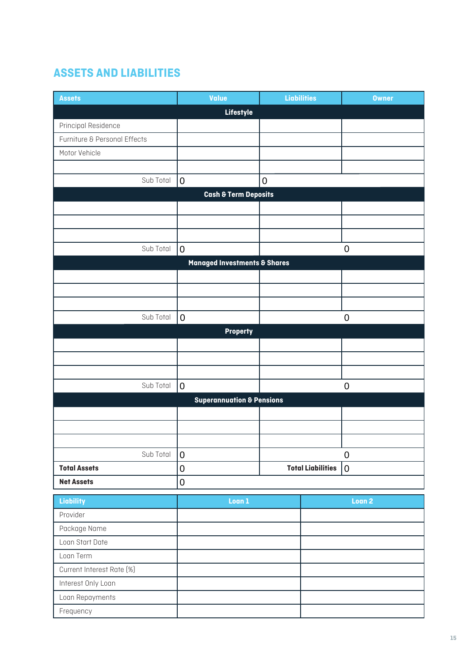### **ASSETS AND LIABILITIES**

| <b>Assets</b>                | <b>Value</b>                            | <b>Liabilities</b> |                          | <b>Owner</b>      |
|------------------------------|-----------------------------------------|--------------------|--------------------------|-------------------|
|                              | Lifestyle                               |                    |                          |                   |
| Principal Residence          |                                         |                    |                          |                   |
| Furniture & Personal Effects |                                         |                    |                          |                   |
| Motor Vehicle                |                                         |                    |                          |                   |
|                              |                                         |                    |                          |                   |
| Sub Total                    | $\pmb{0}$                               | $\mathbf 0$        |                          |                   |
|                              | <b>Cash &amp; Term Deposits</b>         |                    |                          |                   |
|                              |                                         |                    |                          |                   |
|                              |                                         |                    |                          |                   |
|                              |                                         |                    |                          |                   |
| Sub Total                    | $\pmb{0}$                               |                    |                          | $\mathbf 0$       |
|                              | <b>Managed Investments &amp; Shares</b> |                    |                          |                   |
|                              |                                         |                    |                          |                   |
|                              |                                         |                    |                          |                   |
|                              |                                         |                    |                          |                   |
| Sub Total                    | $\boldsymbol{0}$                        |                    |                          | $\mathbf 0$       |
|                              | <b>Property</b>                         |                    |                          |                   |
|                              |                                         |                    |                          |                   |
|                              |                                         |                    |                          |                   |
|                              |                                         |                    |                          |                   |
| Sub Total                    | $\pmb{0}$                               |                    |                          | $\mathbf 0$       |
|                              | <b>Superannuation &amp; Pensions</b>    |                    |                          |                   |
|                              |                                         |                    |                          |                   |
|                              |                                         |                    |                          |                   |
|                              |                                         |                    |                          |                   |
| Sub Total                    | $\boldsymbol{0}$                        |                    |                          | $\mathbf 0$       |
| <b>Total Assets</b>          | $\pmb{0}$                               |                    | <b>Total Liabilities</b> | $\mathbf 0$       |
| <b>Net Assets</b>            | $\pmb{0}$                               |                    |                          |                   |
| <b>Liability</b>             | Loan 1                                  |                    |                          | Loan <sub>2</sub> |
| Provider                     |                                         |                    |                          |                   |
| Package Name                 |                                         |                    |                          |                   |
| Loan Start Date              |                                         |                    |                          |                   |
| Loan Term                    |                                         |                    |                          |                   |
| Current Interest Rate [%]    |                                         |                    |                          |                   |
| Interest Only Loan           |                                         |                    |                          |                   |
| Loan Repayments              |                                         |                    |                          |                   |
| Frequency                    |                                         |                    |                          |                   |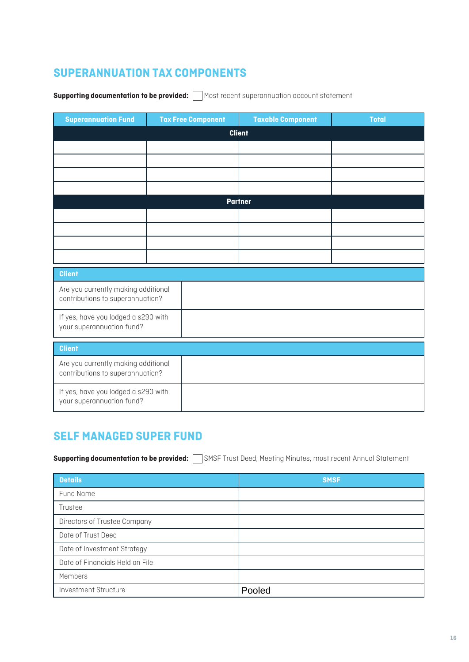#### **SUPERANNUATION TAX COMPONENTS**

**Supporting documentation to be provided:** Most recent superannuation account statement

| <b>Superannuation Fund</b>                                              | <b>Tax Free Component</b> | <b>Taxable Component</b> | <b>Total</b> |  |  |  |
|-------------------------------------------------------------------------|---------------------------|--------------------------|--------------|--|--|--|
|                                                                         | <b>Client</b>             |                          |              |  |  |  |
|                                                                         |                           |                          |              |  |  |  |
|                                                                         |                           |                          |              |  |  |  |
|                                                                         |                           |                          |              |  |  |  |
|                                                                         |                           |                          |              |  |  |  |
|                                                                         |                           | <b>Partner</b>           |              |  |  |  |
|                                                                         |                           |                          |              |  |  |  |
|                                                                         |                           |                          |              |  |  |  |
|                                                                         |                           |                          |              |  |  |  |
|                                                                         |                           |                          |              |  |  |  |
|                                                                         | <b>Client</b>             |                          |              |  |  |  |
| Are you currently making additional<br>contributions to superannuation? |                           |                          |              |  |  |  |
| If yes, have you lodged a s290 with<br>your superannuation fund?        |                           |                          |              |  |  |  |
| <b>Client</b>                                                           |                           |                          |              |  |  |  |
| Are you currently making additional<br>contributions to superannuation? |                           |                          |              |  |  |  |
| If yes, have you lodged a s290 with<br>your superannuation fund?        |                           |                          |              |  |  |  |

#### **SELF MANAGED SUPER FUND**

Supporting documentation to be provided: **SAMSF Trust Deed, Meeting Minutes, most recent Annual Statement** 

| <b>Details</b>                  | <b>SMSF</b> |
|---------------------------------|-------------|
| Fund Name                       |             |
| Trustee                         |             |
| Directors of Trustee Company    |             |
| Date of Trust Deed              |             |
| Date of Investment Strategy     |             |
| Date of Financials Held on File |             |
| Members                         |             |
| <b>Investment Structure</b>     | Pooled      |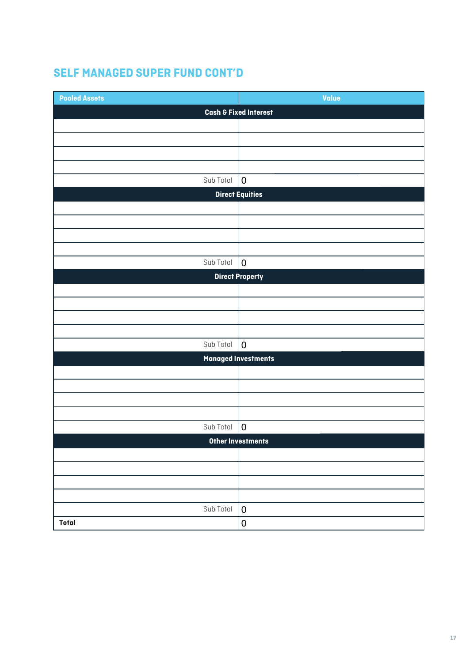#### **SELF MANAGED SUPER FUND CONT'D**

| <b>Pooled Assets</b> | Value                            |
|----------------------|----------------------------------|
|                      | <b>Cash &amp; Fixed Interest</b> |
|                      |                                  |
|                      |                                  |
|                      |                                  |
|                      |                                  |
| Sub Total            | $\mathbf 0$                      |
|                      | <b>Direct Equities</b>           |
|                      |                                  |
|                      |                                  |
|                      |                                  |
|                      |                                  |
| Sub Total            | $\pmb{0}$                        |
|                      | <b>Direct Property</b>           |
|                      |                                  |
|                      |                                  |
|                      |                                  |
|                      |                                  |
| Sub Total            | $\mathbf 0$                      |
|                      | <b>Managed Investments</b>       |
|                      |                                  |
|                      |                                  |
|                      |                                  |
|                      |                                  |
| Sub Total            | $\boldsymbol{0}$                 |
|                      | <b>Other Investments</b>         |
|                      |                                  |
|                      |                                  |
|                      |                                  |
|                      |                                  |
| Sub Total            | $\boldsymbol{0}$                 |
| Total                | $\mathbf 0$                      |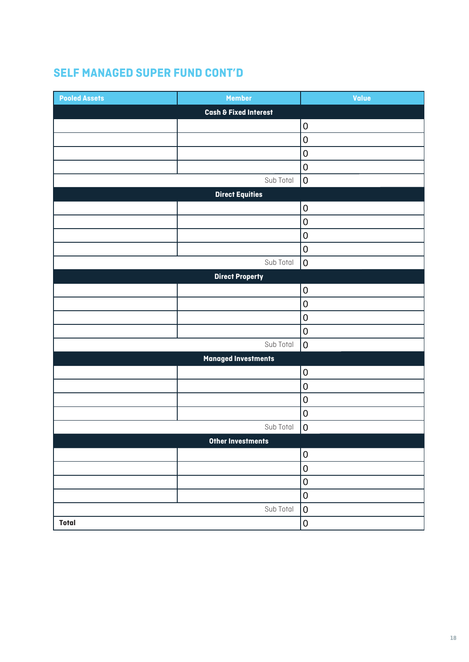#### **SELF MANAGED SUPER FUND CONT'D**

| <b>Pooled Assets</b> | <b>Member</b>                    | Value            |
|----------------------|----------------------------------|------------------|
|                      | <b>Cash &amp; Fixed Interest</b> |                  |
|                      |                                  | $\boldsymbol{0}$ |
|                      |                                  | $\mathbf 0$      |
|                      |                                  | $\boldsymbol{0}$ |
|                      |                                  | $\mathbf 0$      |
|                      | Sub Total                        | $\boldsymbol{0}$ |
|                      | <b>Direct Equities</b>           |                  |
|                      |                                  | $\mathbf 0$      |
|                      |                                  | $\boldsymbol{0}$ |
|                      |                                  | $\boldsymbol{0}$ |
|                      |                                  | $\mathbf 0$      |
|                      | Sub Total                        | $\boldsymbol{0}$ |
|                      | <b>Direct Property</b>           |                  |
|                      |                                  | $\boldsymbol{0}$ |
|                      |                                  | $\boldsymbol{0}$ |
|                      |                                  | $\mathbf 0$      |
|                      |                                  | $\mathbf 0$      |
|                      | Sub Total                        | $\mathbf 0$      |
|                      | <b>Managed Investments</b>       |                  |
|                      |                                  | $\boldsymbol{0}$ |
|                      |                                  | $\mathbf 0$      |
|                      |                                  | $\boldsymbol{0}$ |
|                      |                                  | $\boldsymbol{0}$ |
|                      | Sub Total                        | $\mathbf 0$      |
|                      | <b>Other Investments</b>         |                  |
|                      |                                  | $\pmb{0}$        |
|                      |                                  | 0                |
|                      |                                  | $\mathbf 0$      |
|                      |                                  | $\mathbf 0$      |
|                      | Sub Total                        | $\mathbf 0$      |
| Total                |                                  | $\pmb{0}$        |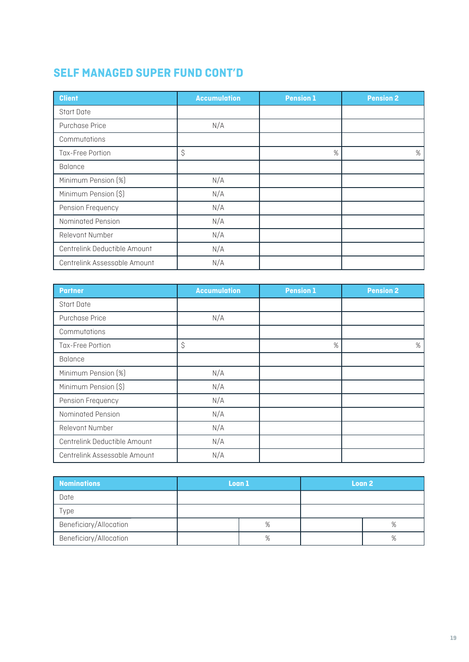#### **SELF MANAGED SUPER FUND CONT'D**

| <b>Client</b>                | <b>Accumulation</b> | <b>Pension 1</b> | <b>Pension 2</b> |
|------------------------------|---------------------|------------------|------------------|
| Start Date                   |                     |                  |                  |
| Purchase Price               | N/A                 |                  |                  |
| Commutations                 |                     |                  |                  |
| Tax-Free Portion             | \$                  | %                | %                |
| <b>Balance</b>               |                     |                  |                  |
| Minimum Pension [%]          | N/A                 |                  |                  |
| Minimum Pension [\$]         | N/A                 |                  |                  |
| Pension Frequency            | N/A                 |                  |                  |
| Nominated Pension            | N/A                 |                  |                  |
| Relevant Number              | N/A                 |                  |                  |
| Centrelink Deductible Amount | N/A                 |                  |                  |
| Centrelink Assessable Amount | N/A                 |                  |                  |

| <b>Partner</b>               | <b>Accumulation</b> | <b>Pension 1</b> | <b>Pension 2</b> |
|------------------------------|---------------------|------------------|------------------|
| Start Date                   |                     |                  |                  |
| Purchase Price               | N/A                 |                  |                  |
| Commutations                 |                     |                  |                  |
| Tax-Free Portion             | \$                  | %                | %                |
| <b>Balance</b>               |                     |                  |                  |
| Minimum Pension [%]          | N/A                 |                  |                  |
| Minimum Pension [\$]         | N/A                 |                  |                  |
| Pension Frequency            | N/A                 |                  |                  |
| Nominated Pension            | N/A                 |                  |                  |
| Relevant Number              | N/A                 |                  |                  |
| Centrelink Deductible Amount | N/A                 |                  |                  |
| Centrelink Assessable Amount | N/A                 |                  |                  |

| <b>Nominations</b>     | Loan 1 |   | Loan <sub>2</sub> |
|------------------------|--------|---|-------------------|
| Date                   |        |   |                   |
| Type                   |        |   |                   |
| Beneficiary/Allocation |        | % | %                 |
| Beneficiary/Allocation |        | % | %                 |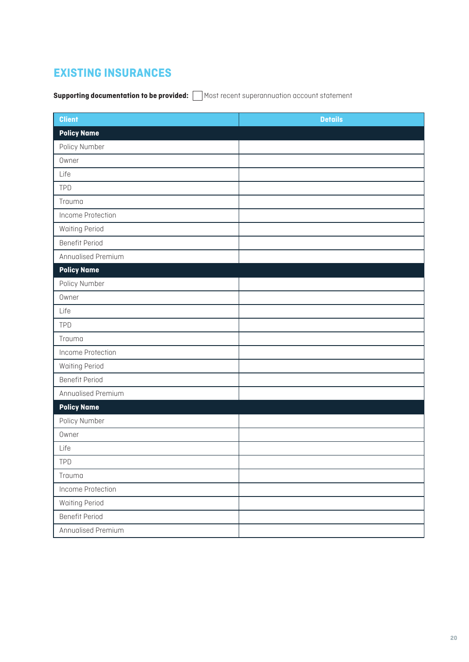#### **EXISTING INSURANCES**

**Supporting documentation to be provided: Most recent superannuation account statement** 

| <b>Client</b>         | <b>Details</b> |
|-----------------------|----------------|
| <b>Policy Name</b>    |                |
| Policy Number         |                |
| Owner                 |                |
| Life                  |                |
| TPD                   |                |
| Trauma                |                |
| Income Protection     |                |
| <b>Waiting Period</b> |                |
| <b>Benefit Period</b> |                |
| Annualised Premium    |                |
| <b>Policy Name</b>    |                |
| Policy Number         |                |
| Owner                 |                |
| Life                  |                |
| TPD                   |                |
| Trauma                |                |
| Income Protection     |                |
| <b>Waiting Period</b> |                |
| <b>Benefit Period</b> |                |
| Annualised Premium    |                |
| <b>Policy Name</b>    |                |
| Policy Number         |                |
| Owner                 |                |
| Life                  |                |
| TPD                   |                |
| Trauma                |                |
| Income Protection     |                |
| <b>Waiting Period</b> |                |
| <b>Benefit Period</b> |                |
| Annualised Premium    |                |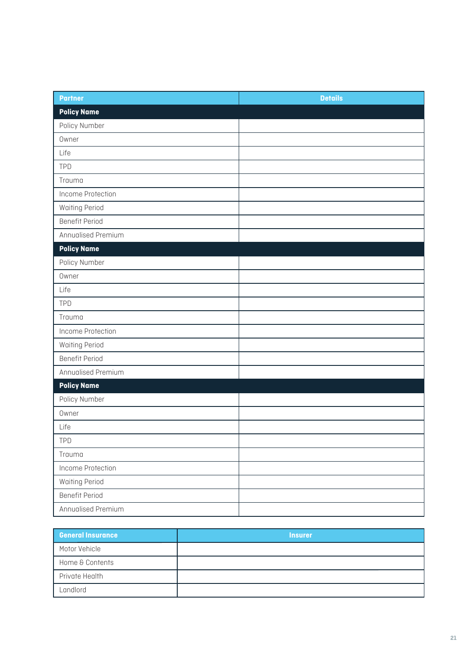| <b>Partner</b>        | <b>Details</b> |
|-----------------------|----------------|
| <b>Policy Name</b>    |                |
| Policy Number         |                |
| Owner                 |                |
| Life                  |                |
| TPD                   |                |
| Trauma                |                |
| Income Protection     |                |
| <b>Waiting Period</b> |                |
| <b>Benefit Period</b> |                |
| Annualised Premium    |                |
| <b>Policy Name</b>    |                |
| Policy Number         |                |
| Owner                 |                |
| Life                  |                |
| TPD                   |                |
| Trauma                |                |
| Income Protection     |                |
| <b>Waiting Period</b> |                |
| <b>Benefit Period</b> |                |
| Annualised Premium    |                |
| <b>Policy Name</b>    |                |
| Policy Number         |                |
| Owner                 |                |
| Life                  |                |
| TPD                   |                |
| Trauma                |                |
| Income Protection     |                |
| <b>Waiting Period</b> |                |
| <b>Benefit Period</b> |                |
| Annualised Premium    |                |

| <b>General Insurance</b> | <b>Insurer</b> |
|--------------------------|----------------|
| Motor Vehicle            |                |
| Home & Contents          |                |
| Private Health           |                |
| Landlord                 |                |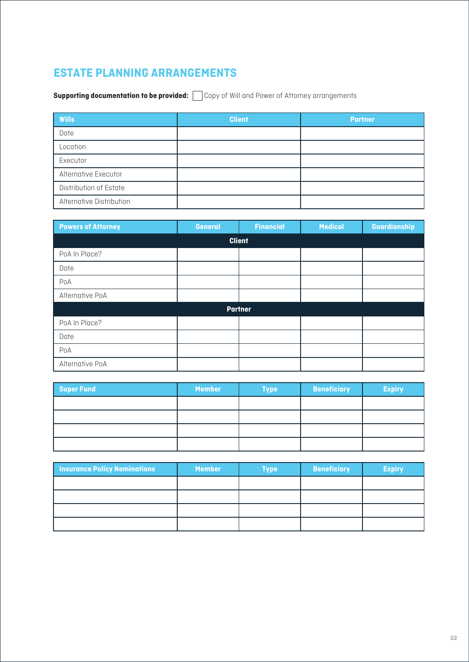### **ESTATE PLANNING ARRANGEMENTS**

**Supporting documentation to be provided:** <u>Copy of Will and Power of Attorney arrangements</u>

| <b>Wills</b>             | <b>Client</b> | <b>Partner</b> |
|--------------------------|---------------|----------------|
| Date                     |               |                |
| Location                 |               |                |
| Executor                 |               |                |
| Alternative Executor     |               |                |
| Distribution of Estate   |               |                |
| Alternative Distribution |               |                |

| <b>Powers of Attorney</b> | <b>General</b> | <b>Financial</b> | <b>Medical</b> | Guardianship |  |  |
|---------------------------|----------------|------------------|----------------|--------------|--|--|
|                           | <b>Client</b>  |                  |                |              |  |  |
| PoA In Place?             |                |                  |                |              |  |  |
| Date                      |                |                  |                |              |  |  |
| PoA                       |                |                  |                |              |  |  |
| Alternative PoA           |                |                  |                |              |  |  |
|                           |                | Partner          |                |              |  |  |
| PoA In Place?             |                |                  |                |              |  |  |
| Date                      |                |                  |                |              |  |  |
| PoA                       |                |                  |                |              |  |  |
| Alternative PoA           |                |                  |                |              |  |  |

| Super Fund | <b>Member</b> | <b>Type</b> | <b>Beneficiary</b> | <b>Expiry</b> |
|------------|---------------|-------------|--------------------|---------------|
|            |               |             |                    |               |
|            |               |             |                    |               |
|            |               |             |                    |               |
|            |               |             |                    |               |

| <b>Insurance Policy Nominations</b> | <b>Member</b> | <b>Type</b> | <b>Beneficiary</b> | <b>Expiry</b> |
|-------------------------------------|---------------|-------------|--------------------|---------------|
|                                     |               |             |                    |               |
|                                     |               |             |                    |               |
|                                     |               |             |                    |               |
|                                     |               |             |                    |               |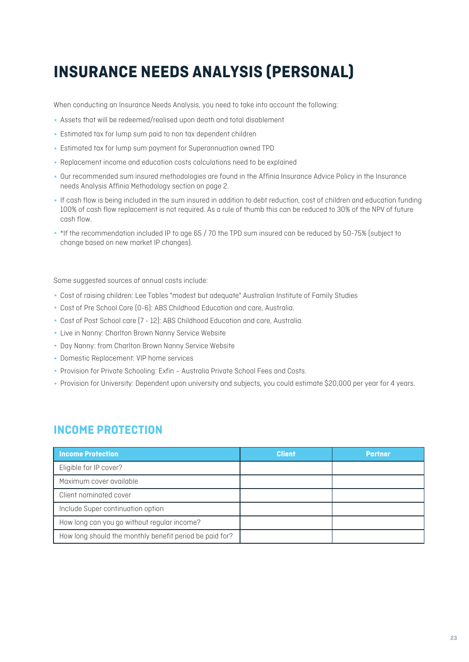# **INSURANCE NEEDS ANALYSIS (PERSONAL)**

When conducting an Insurance Needs Analysis, you need to take into account the following:

- Assets that will be redeemed/realised upon death and total disablement **•**
- Estimated tax for lump sum paid to non tax dependent children **•**
- Estimated tax for lump sum payment for Superannuation owned TPD **•**
- Replacement income and education costs calculations need to be explained **•**
- Our recommended sum insured methodologies are found in the Affinia Insurance Advice Policy in the Insurance **•** needs Analysis Affinia Methodology section on page 2.
- If cash flow is being included in the sum insured in addition to debt reduction, cost of children and education funding 100% of cash flow replacement is not required. As a rule of thumb this can be reduced to 30% of the NPV of future cash flow.
- \*If the recommendation included IP to age 65 / 70 the TPD sum insured can be reduced by 50-75% (subject to change based on new market IP changes).

Some suggested sources of annual costs include:

- Cost of raising children: Lee Tables "modest but adequate" Australian Institute of Family Studies **•**
- Cost of Pre School Care (0-6): ABS Childhood Education and care, Australia. **•**
- Cost of Post School care (7 12): ABS Childhood Education and care, Australia. **•**
- Live in Nanny: Charlton Brown Nanny Service Website **•**
- Day Nanny: from Charlton Brown Nanny Service Website
- Domestic Replacement: VIP home services **•**
- Provision for Private Schooling: Exfin Australia Private School Fees and Costs. **•**
- Provision for University: Dependent upon university and subjects, you could estimate \$20,000 per year for 4 years.

#### **INCOME PROTECTION**

| <b>Income Protection</b>                                | <b>Client</b> | <b>Partner</b> |
|---------------------------------------------------------|---------------|----------------|
| Eligible for IP cover?                                  |               |                |
| Maximum cover available                                 |               |                |
| Client nominated cover                                  |               |                |
| Include Super continuation option                       |               |                |
| How long can you go without regular income?             |               |                |
| How long should the monthly benefit period be paid for? |               |                |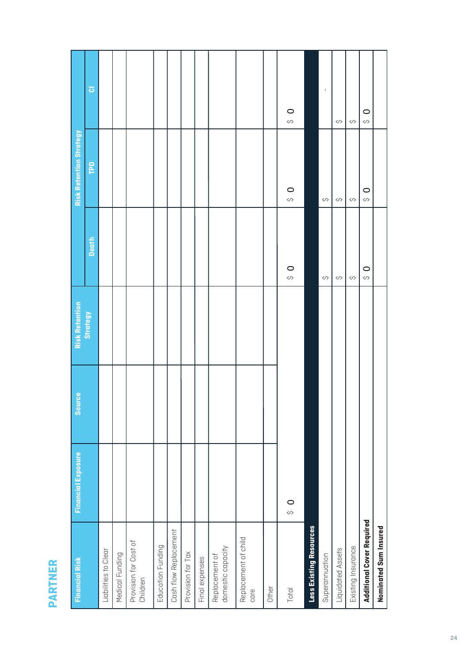| г |
|---|
|   |
|   |
|   |
|   |
|   |
|   |

| <b>Financial Risk</b>               | <b>Financial Exposure</b> | Source | <b>Risk Retention</b> |                    | <b>Risk Retention Strategy</b> |                         |
|-------------------------------------|---------------------------|--------|-----------------------|--------------------|--------------------------------|-------------------------|
|                                     |                           |        | Strategy              | Death              | <b>PPD</b>                     | $\overline{\mathbf{o}}$ |
| Liabilities to Clear                |                           |        |                       |                    |                                |                         |
| Medical Funding                     |                           |        |                       |                    |                                |                         |
| Provision for Cost of<br>Children   |                           |        |                       |                    |                                |                         |
| Education Funding                   |                           |        |                       |                    |                                |                         |
| Cash flow Replacement               |                           |        |                       |                    |                                |                         |
| Provision for Tax                   |                           |        |                       |                    |                                |                         |
| Final expenses                      |                           |        |                       |                    |                                |                         |
| domestic capacity<br>Replacement of |                           |        |                       |                    |                                |                         |
| Replacement of child<br>care        |                           |        |                       |                    |                                |                         |
| Other                               |                           |        |                       |                    |                                |                         |
| Total                               | $\circ$                   |        |                       | $\circ$<br>$\circ$ | $\circ$<br>$\circ$             | $\circ$<br>$\circ$      |
| <b>Less Existing Resources</b>      |                           |        |                       |                    |                                |                         |
| Superannuation                      |                           |        |                       | $\circlearrowleft$ | $\circlearrowleft$             | $\mathbf{I}$            |
| Liquidated Assets                   |                           |        |                       | Ş                  | S                              | Ş                       |
| Existing Insurance                  |                           |        |                       | S                  | S                              | S                       |
| <b>Additional Cover Required</b>    |                           |        |                       | $\circ$<br>$\circ$ | $\circ$<br>$\circ$             | $\circ$<br>∽            |
| Nominated Sum Insured               |                           |        |                       |                    |                                |                         |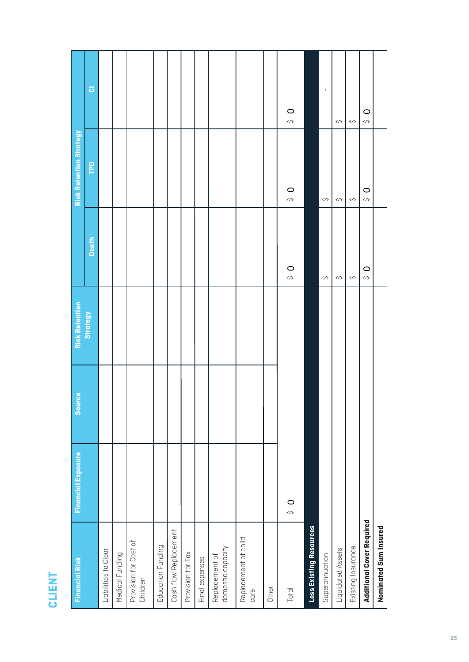| P.     |
|--------|
| Ξ<br>Ξ |
|        |
|        |

| <b>Financial Risk</b>               | <b>Financial Exposure</b> | Source | <b>Risk Retention</b> |              | <b>Risk Retention Strategy</b> |                         |
|-------------------------------------|---------------------------|--------|-----------------------|--------------|--------------------------------|-------------------------|
|                                     |                           |        | Strategy              | <b>Death</b> | PD                             | $\overline{\mathbf{o}}$ |
| Liabilities to Clear                |                           |        |                       |              |                                |                         |
| Medical Funding                     |                           |        |                       |              |                                |                         |
| Provision for Cost of<br>Children   |                           |        |                       |              |                                |                         |
| Education Funding                   |                           |        |                       |              |                                |                         |
| Cash flow Replacement               |                           |        |                       |              |                                |                         |
| Provision for Tax                   |                           |        |                       |              |                                |                         |
| Final expenses                      |                           |        |                       |              |                                |                         |
| domestic capacity<br>Replacement of |                           |        |                       |              |                                |                         |
| Replacement of child<br>care        |                           |        |                       |              |                                |                         |
| Other                               |                           |        |                       |              |                                |                         |
| Total                               | $\circ$                   |        |                       | 0<br>$\circ$ | 0<br>Ş                         | $\circ$<br>Ş            |
| <b>Less Existing Resources</b>      |                           |        |                       |              |                                |                         |
| Superannuation                      |                           |        |                       | Ş            | \$                             | $\mathbf I$             |
| Liquidated Assets                   |                           |        |                       | Ş            | Ş                              | S                       |
| Existing Insurance                  |                           |        |                       | \$           | \$                             | \$                      |
| <b>Additional Cover Required</b>    |                           |        |                       | 0<br>S       | 0<br>$\circ$                   | 0<br>S                  |
| Nominated Sum Insured               |                           |        |                       |              |                                |                         |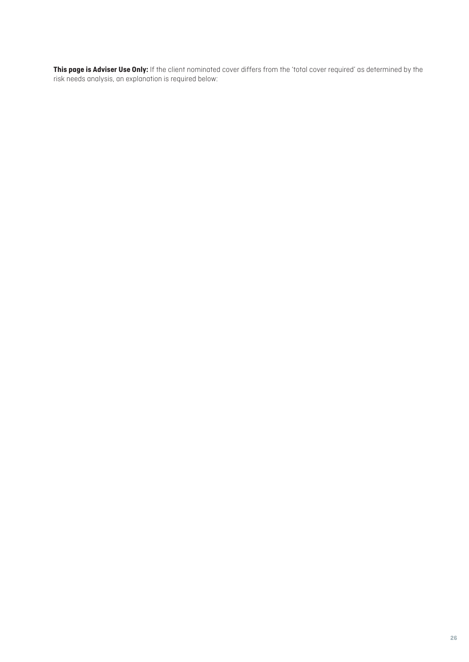**This page is Adviser Use Only:** If the client nominated cover differs from the 'total cover required' as determined by the risk needs analysis, an explanation is required below: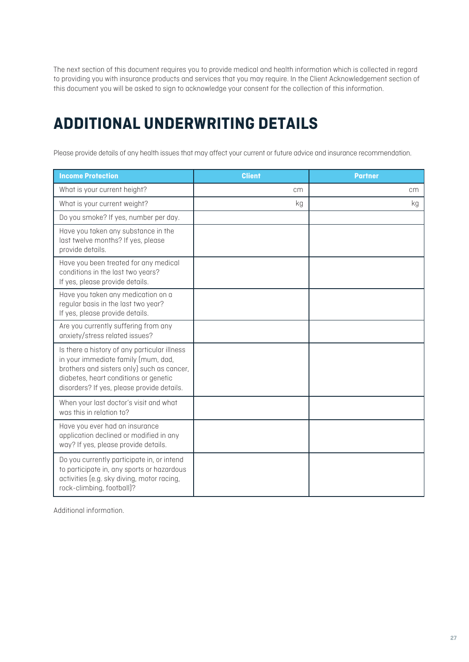The next section of this document requires you to provide medical and health information which is collected in regard to providing you with insurance products and services that you may require. In the Client Acknowledgement section of this document you will be asked to sign to acknowledge your consent for the collection of this information.

# **ADDITIONAL UNDERWRITING DETAILS**

Please provide details of any health issues that may affect your current or future advice and insurance recommendation.

| <b>Income Protection</b>                                                                                                                                                                                                 | <b>Client</b> | <b>Partner</b> |
|--------------------------------------------------------------------------------------------------------------------------------------------------------------------------------------------------------------------------|---------------|----------------|
| What is your current height?                                                                                                                                                                                             | cm            | cm             |
| What is your current weight?                                                                                                                                                                                             | kg            | kg             |
| Do you smoke? If yes, number per day.                                                                                                                                                                                    |               |                |
| Have you taken any substance in the<br>last twelve months? If yes, please<br>provide details.                                                                                                                            |               |                |
| Have you been treated for any medical<br>conditions in the last two years?<br>If yes, please provide details.                                                                                                            |               |                |
| Have you taken any medication on a<br>regular basis in the last two year?<br>If yes, please provide details.                                                                                                             |               |                |
| Are you currently suffering from any<br>anxiety/stress related issues?                                                                                                                                                   |               |                |
| Is there a history of any particular illness<br>in your immediate family (mum, dad,<br>brothers and sisters only) such as cancer,<br>diabetes, heart conditions or genetic<br>disorders? If yes, please provide details. |               |                |
| When your last doctor's visit and what<br>was this in relation to?                                                                                                                                                       |               |                |
| Have you ever had an insurance<br>application declined or modified in any<br>way? If yes, please provide details.                                                                                                        |               |                |
| Do you currently participate in, or intend<br>to participate in, any sports or hazardous<br>activities (e.g. sky diving, motor racing,<br>rock-climbing, football)?                                                      |               |                |

Additional information.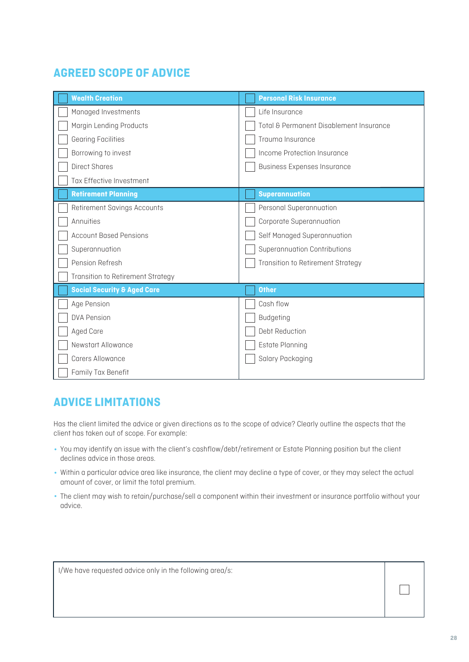#### **AGREED SCOPE OF ADVICE**

| <b>Wealth Creation</b>                 | <b>Personal Risk Insurance</b>          |
|----------------------------------------|-----------------------------------------|
| Managed Investments                    | Life Insurance                          |
| Margin Lending Products                | Total & Permanent Disablement Insurance |
| <b>Gearing Facilities</b>              | Trauma Insurance                        |
| Borrowing to invest                    | Income Protection Insurance             |
| <b>Direct Shares</b>                   | Business Expenses Insurance             |
| Tax Effective Investment               |                                         |
| <b>Retirement Planning</b>             | <b>Superannuation</b>                   |
| Retirement Savings Accounts            | Personal Superannuation                 |
| Annuities                              | Corporate Superannuation                |
| <b>Account Based Pensions</b>          | Self Managed Superannuation             |
| Superannuation                         | Superannuation Contributions            |
| Pension Refresh                        | Transition to Retirement Strategy       |
| Transition to Retirement Strategy      |                                         |
| <b>Social Security &amp; Aged Care</b> | <b>Other</b>                            |
| Age Pension                            | Cash flow                               |
| <b>DVA Pension</b>                     | <b>Budgeting</b>                        |
| Aged Care                              | Debt Reduction                          |
| Newstart Allowance                     | Estate Planning                         |
| Carers Allowance                       | Salary Packaging                        |
| Family Tax Benefit                     |                                         |

#### **ADVICE LIMITATIONS**

Has the client limited the advice or given directions as to the scope of advice? Clearly outline the aspects that the client has taken out of scope. For example:

- You may identify an issue with the client's cashflow/debt/retirement or Estate Planning position but the client **•** declines advice in those areas.
- Within a particular advice area like insurance, the client may decline a type of cover, or they may select the actual **•** amount of cover, or limit the total premium.
- The client may wish to retain/purchase/sell a component within their investment or insurance portfolio without your **•** advice.

I/We have requested advice only in the following area/s: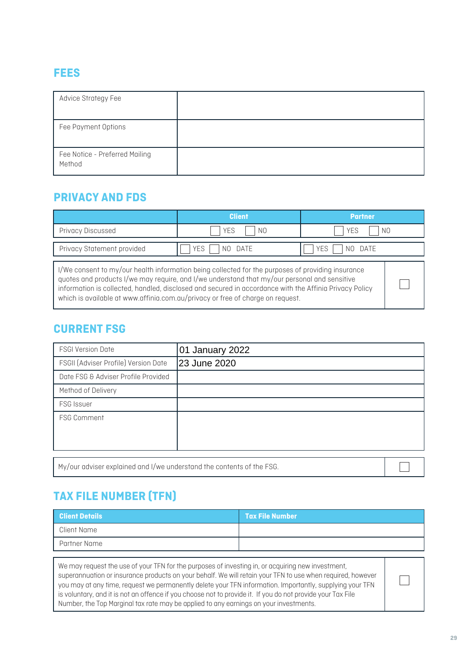#### **FEES**

| Advice Strategy Fee                      |  |
|------------------------------------------|--|
| Fee Payment Options                      |  |
| Fee Notice - Preferred Mailing<br>Method |  |

#### **PRIVACY AND FDS**

|                            | <b>Client</b>                                                                                                                                                                                                                                                                                                                                                                                 | <b>Partner</b> |    |
|----------------------------|-----------------------------------------------------------------------------------------------------------------------------------------------------------------------------------------------------------------------------------------------------------------------------------------------------------------------------------------------------------------------------------------------|----------------|----|
| Privacy Discussed          | YES<br>N <sub>0</sub>                                                                                                                                                                                                                                                                                                                                                                         | YES            | N0 |
| Privacy Statement provided | <b>DATE</b><br>YES<br>NO.                                                                                                                                                                                                                                                                                                                                                                     | NO DATE<br>YES |    |
|                            | I/We consent to my/our health information being collected for the purposes of providing insurance<br>quotes and products I/we may require, and I/we understand that my/our personal and sensitive<br>information is collected, handled, disclosed and secured in accordance with the Affinia Privacy Policy<br>which is available at www.affinia.com.au/privacy or free of charge on request. |                |    |

#### **CURRENT FSG**

| <b>FSGI Version Date</b>             | 01 January 2022 |
|--------------------------------------|-----------------|
| FSGII (Adviser Profile) Version Date | 23 June 2020    |
| Date FSG & Adviser Profile Provided  |                 |
| Method of Delivery                   |                 |
| <b>FSG</b> Issuer                    |                 |
| <b>FSG Comment</b>                   |                 |
|                                      |                 |
|                                      |                 |
|                                      |                 |

My/our adviser explained and I/we understand the contents of the FSG.

#### **TAX FILE NUMBER (TFN)**

| <b>Client Details</b> | <b>Tax File Number</b> |
|-----------------------|------------------------|
| Client Name           |                        |
| Partner Name          |                        |

We may request the use of your TFN for the purposes of investing in, or acquiring new investment, superannuation or insurance products on your behalf. We will retain your TFN to use when required, however you may at any time, request we permanently delete your TFN information. Importantly, supplying your TFN is voluntary, and it is not an offence if you choose not to provide it. If you do not provide your Tax File Number, the Top Marginal tax rate may be applied to any earnings on your investments.

 $\Box$ 

 $\Box$